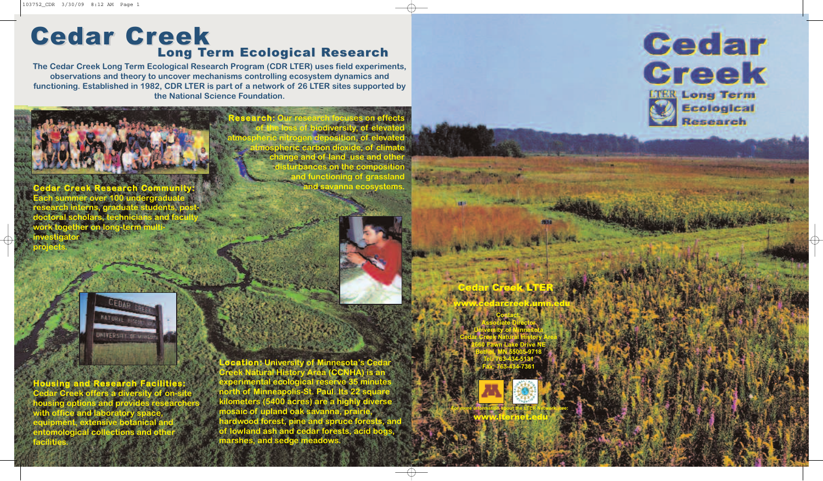www.lternet.edu **For more information about the LTER Network, see:**

www.cedarcreek.umn.edu **Contact: Associate Director University of Minnesota Cedar Creek Natural History Area 2660 Fawn Lake Drive NE Bethel, MN 55005-9718 Tel: 763-434-5131 Fax: 763-434-7361**

Cedar Creek LTER



**Research: Our research focuses on effects of the loss of biodiversity, of elevated atmospheric nitrogen deposition, of elevated atmospheric carbon dioxide, of climate change and of land use and other disturbances on the composition and functioning of grassland and savanna ecosystems.**



**Dication: University of Creek Natural History Area (CCNHA) is an experimental ecological reserve 35 minutes north of Minneapolis-St. Paul. Its 22 square kilometers (5400 acres) are a highly diverse mosaic of upland oak savanna, prairie, hardwood forest, pine and spruce forests, and of lowland ash and cedar forests, acid bogs, marshes, and sedge meadows.**

**The Cedar Creek Long Term Ecological Research Program (CDR LTER) uses field experiments, observations and theory to uncover mechanisms controlling ecosystem dynamics and functioning. Established in 1982, CDR LTER is part of a network of 26 LTER sites supported by the National Science Foundation.**



**projects.**

**Housing and Research Facilities: Cedar Creek offers a diversity of on-site housing options and provides researchers with office and laboratory space, equipment, extensive botanical and entomological collections and other facilities.**

## **Long Term Ecological Research Cedar Creek**